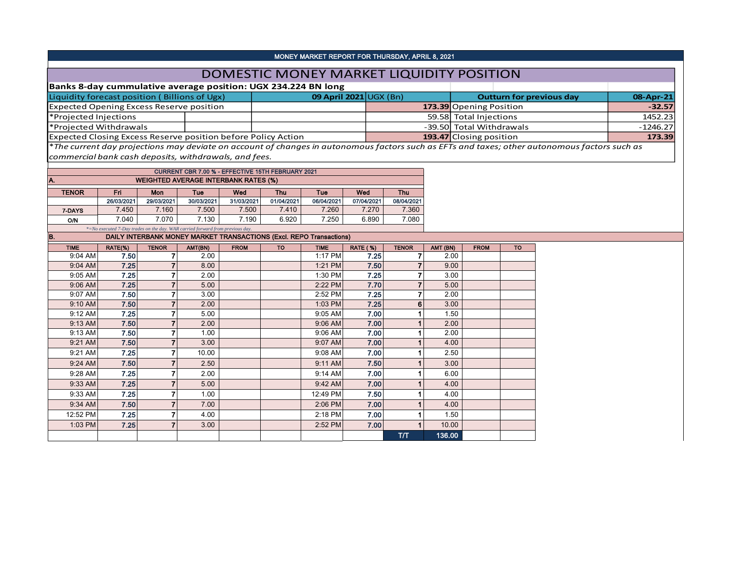| MONEY MARKET REPORT FOR THURSDAY, APRIL 8, 2021                                                                                                                                                                                 |            |                                                                               |            |                                                   |            |                        |            |                         |        |                                 |           |            |          |
|---------------------------------------------------------------------------------------------------------------------------------------------------------------------------------------------------------------------------------|------------|-------------------------------------------------------------------------------|------------|---------------------------------------------------|------------|------------------------|------------|-------------------------|--------|---------------------------------|-----------|------------|----------|
| DOMESTIC MONEY MARKET LIQUIDITY POSITION                                                                                                                                                                                        |            |                                                                               |            |                                                   |            |                        |            |                         |        |                                 |           |            |          |
| Banks 8-day cummulative average position: UGX 234.224 BN long                                                                                                                                                                   |            |                                                                               |            |                                                   |            |                        |            |                         |        |                                 |           |            |          |
| Liquidity forecast position (Billions of Ugx)                                                                                                                                                                                   |            |                                                                               |            |                                                   |            | 09 April 2021 UGX (Bn) |            |                         |        | <b>Outturn for previous day</b> | 08-Apr-21 |            |          |
| <b>Expected Opening Excess Reserve position</b>                                                                                                                                                                                 |            |                                                                               |            |                                                   |            |                        |            |                         |        | 173.39 Opening Position         |           |            | $-32.57$ |
| *Projected Injections                                                                                                                                                                                                           |            |                                                                               |            |                                                   |            |                        |            |                         |        | 59.58 Total Injections          |           | 1452.23    |          |
| *Projected Withdrawals                                                                                                                                                                                                          |            |                                                                               |            |                                                   |            |                        |            |                         |        | -39.50 Total Withdrawals        |           | $-1246.27$ |          |
| Expected Closing Excess Reserve position before Policy Action                                                                                                                                                                   |            |                                                                               |            |                                                   |            |                        |            | 193.47 Closing position |        |                                 | 173.39    |            |          |
| *The current day projections may deviate on account of changes in autonomous factors such as EFTs and taxes; other autonomous factors such as                                                                                   |            |                                                                               |            |                                                   |            |                        |            |                         |        |                                 |           |            |          |
| commercial bank cash deposits, withdrawals, and fees.                                                                                                                                                                           |            |                                                                               |            |                                                   |            |                        |            |                         |        |                                 |           |            |          |
|                                                                                                                                                                                                                                 |            |                                                                               |            | CURRENT CBR 7.00 % - EFFECTIVE 15TH FEBRUARY 2021 |            |                        |            |                         |        |                                 |           |            |          |
| A.<br><b>WEIGHTED AVERAGE INTERBANK RATES (%)</b>                                                                                                                                                                               |            |                                                                               |            |                                                   |            |                        |            |                         |        |                                 |           |            |          |
| <b>TENOR</b>                                                                                                                                                                                                                    | Fri        | Mon                                                                           | Tue        | Wed                                               | Thu        | Tue                    | Wed        | Thu                     |        |                                 |           |            |          |
|                                                                                                                                                                                                                                 | 26/03/2021 | 29/03/2021                                                                    | 30/03/2021 | 31/03/2021                                        | 01/04/2021 | 06/04/2021             | 07/04/2021 | 08/04/2021              |        |                                 |           |            |          |
| 7-DAYS                                                                                                                                                                                                                          | 7.450      | 7.160                                                                         | 7.500      | 7.500                                             | 7.410      | 7.260                  | 7.270      | 7.360                   |        |                                 |           |            |          |
| <b>O/N</b>                                                                                                                                                                                                                      | 7.040      | 7.070                                                                         | 7.130      | 7.190                                             | 6.920      | 7.250                  | 6.890      | 7.080                   |        |                                 |           |            |          |
| B.                                                                                                                                                                                                                              |            | *=No executed 7-Day trades on the day. WAR carried forward from previous day. |            |                                                   |            |                        |            |                         |        |                                 |           |            |          |
| DAILY INTERBANK MONEY MARKET TRANSACTIONS (Excl. REPO Transactions)<br><b>TIME</b><br>RATE(%)<br><b>TENOR</b><br>AMT(BN)<br><b>RATE (%)</b><br><b>TENOR</b><br>AMT (BN)<br><b>TO</b><br><b>TIME</b><br><b>FROM</b><br><b>TO</b> |            |                                                                               |            |                                                   |            |                        |            |                         |        |                                 |           |            |          |
| 9:04 AM                                                                                                                                                                                                                         | 7.50       | $\overline{7}$                                                                | 2.00       | <b>FROM</b>                                       |            | 1:17 PM                | 7.25       | $\overline{7}$          | 2.00   |                                 |           |            |          |
| 9:04 AM                                                                                                                                                                                                                         | 7.25       | $\overline{7}$                                                                | 8.00       |                                                   |            | 1:21 PM                | 7.50       | $\overline{7}$          | 9.00   |                                 |           |            |          |
| 9:05 AM                                                                                                                                                                                                                         | 7.25       | $\overline{7}$                                                                | 2.00       |                                                   |            | 1:30 PM                | 7.25       | $\overline{7}$          | 3.00   |                                 |           |            |          |
| 9:06 AM                                                                                                                                                                                                                         | 7.25       | $\overline{7}$                                                                | 5.00       |                                                   |            | 2:22 PM                | 7.70       | $\overline{7}$          | 5.00   |                                 |           |            |          |
| 9:07 AM                                                                                                                                                                                                                         | 7.50       | $\overline{\mathbf{r}}$                                                       | 3.00       |                                                   |            | 2:52 PM                | 7.25       | $\overline{7}$          | 2.00   |                                 |           |            |          |
| 9:10 AM                                                                                                                                                                                                                         | 7.50       | $\overline{7}$                                                                | 2.00       |                                                   |            | 1:03 PM                | 7.25       | 6                       | 3.00   |                                 |           |            |          |
| 9:12 AM                                                                                                                                                                                                                         | 7.25       | $\overline{7}$                                                                | 5.00       |                                                   |            | 9:05 AM                | 7.00       | 1                       | 1.50   |                                 |           |            |          |
| 9:13 AM                                                                                                                                                                                                                         | 7.50       | $\overline{7}$                                                                | 2.00       |                                                   |            | 9:06 AM                | 7.00       | 1                       | 2.00   |                                 |           |            |          |
| 9:13 AM                                                                                                                                                                                                                         | 7.50       | $\overline{\mathbf{r}}$                                                       | 1.00       |                                                   |            | 9:06 AM                | 7.00       | 1                       | 2.00   |                                 |           |            |          |
| 9:21 AM                                                                                                                                                                                                                         | 7.50       | $\overline{\mathbf{r}}$                                                       | 3.00       |                                                   |            | 9:07 AM                | 7.00       |                         | 4.00   |                                 |           |            |          |
| 9:21 AM                                                                                                                                                                                                                         | 7.25       | $\overline{7}$                                                                | 10.00      |                                                   |            | 9:08 AM                | 7.00       | 1                       | 2.50   |                                 |           |            |          |
| 9:24 AM                                                                                                                                                                                                                         | 7.50       | $\overline{7}$                                                                | 2.50       |                                                   |            | 9:11 AM                | 7.50       |                         | 3.00   |                                 |           |            |          |
| 9:28 AM                                                                                                                                                                                                                         | 7.25       | $\overline{\mathbf{r}}$                                                       | 2.00       |                                                   |            | 9:14 AM                | 7.00       |                         | 6.00   |                                 |           |            |          |
| 9:33 AM                                                                                                                                                                                                                         | 7.25       | $\overline{7}$                                                                | 5.00       |                                                   |            | 9:42 AM                | 7.00       |                         | 4.00   |                                 |           |            |          |
| 9:33 AM                                                                                                                                                                                                                         | 7.25       | $\overline{7}$                                                                | 1.00       |                                                   |            | 12:49 PM               | 7.50       |                         | 4.00   |                                 |           |            |          |
| 9:34 AM                                                                                                                                                                                                                         | 7.50       | $\overline{7}$                                                                | 7.00       |                                                   |            | 2:06 PM                | 7.00       |                         | 4.00   |                                 |           |            |          |
| 12:52 PM                                                                                                                                                                                                                        | 7.25       | $\overline{7}$                                                                | 4.00       |                                                   |            | 2:18 PM                | 7.00       |                         | 1.50   |                                 |           |            |          |
| 1:03 PM                                                                                                                                                                                                                         | 7.25       | $\overline{7}$                                                                | 3.00       |                                                   |            | 2:52 PM                | 7.00       |                         | 10.00  |                                 |           |            |          |
|                                                                                                                                                                                                                                 |            |                                                                               |            |                                                   |            |                        |            | <b>T/T</b>              | 136.00 |                                 |           |            |          |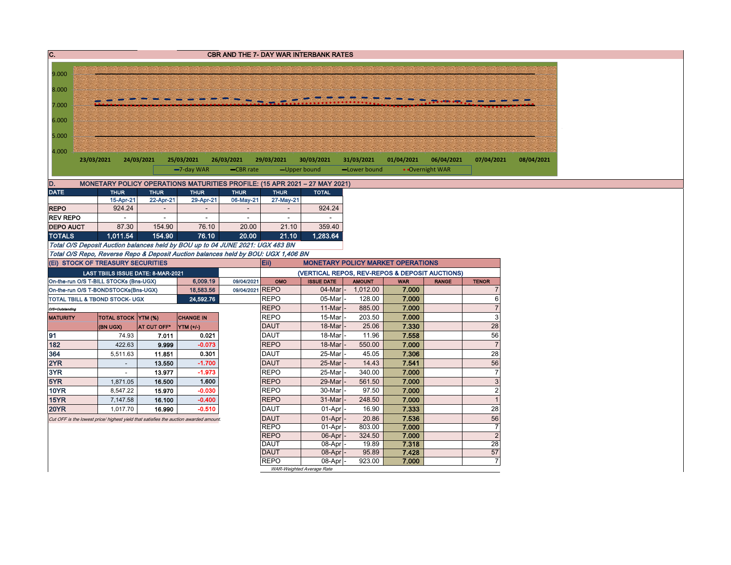| $\overline{c}$                                                                        |                                                                                                                                                        |             |                  |                               |                            | <b>CBR AND THE 7- DAY WAR INTERBANK RATES</b>                                              |                           |                     |                 |                                  |  |  |  |  |
|---------------------------------------------------------------------------------------|--------------------------------------------------------------------------------------------------------------------------------------------------------|-------------|------------------|-------------------------------|----------------------------|--------------------------------------------------------------------------------------------|---------------------------|---------------------|-----------------|----------------------------------|--|--|--|--|
|                                                                                       |                                                                                                                                                        |             |                  |                               |                            |                                                                                            |                           |                     |                 |                                  |  |  |  |  |
| 9.000                                                                                 |                                                                                                                                                        |             |                  |                               |                            |                                                                                            |                           |                     |                 |                                  |  |  |  |  |
| 8.000                                                                                 |                                                                                                                                                        |             |                  |                               |                            |                                                                                            |                           |                     |                 |                                  |  |  |  |  |
|                                                                                       |                                                                                                                                                        |             |                  |                               |                            |                                                                                            |                           |                     |                 |                                  |  |  |  |  |
| 7.000                                                                                 |                                                                                                                                                        |             |                  |                               |                            |                                                                                            |                           |                     |                 |                                  |  |  |  |  |
| 6.000                                                                                 |                                                                                                                                                        |             |                  |                               |                            |                                                                                            |                           |                     |                 |                                  |  |  |  |  |
|                                                                                       |                                                                                                                                                        |             |                  |                               |                            |                                                                                            |                           |                     |                 |                                  |  |  |  |  |
| 5.000                                                                                 |                                                                                                                                                        |             |                  |                               |                            |                                                                                            |                           |                     |                 |                                  |  |  |  |  |
| 4.000                                                                                 |                                                                                                                                                        |             |                  |                               |                            |                                                                                            |                           |                     |                 |                                  |  |  |  |  |
|                                                                                       | 24/03/2021<br>01/04/2021<br>06/04/2021<br>23/03/2021<br>25/03/2021<br>26/03/2021<br>29/03/2021<br>30/03/2021<br>31/03/2021<br>07/04/2021<br>08/04/2021 |             |                  |                               |                            |                                                                                            |                           |                     |                 |                                  |  |  |  |  |
|                                                                                       |                                                                                                                                                        |             | -7-day WAR       | -CBR rate                     |                            | -Upper bound                                                                               | -Lower bound              |                     | • Overnight WAR |                                  |  |  |  |  |
|                                                                                       |                                                                                                                                                        |             |                  |                               |                            |                                                                                            |                           |                     |                 |                                  |  |  |  |  |
| D.<br><b>DATE</b>                                                                     | <b>THUR</b>                                                                                                                                            | <b>THUR</b> | <b>THUR</b>      | <b>THUR</b>                   | <b>THUR</b>                | MONETARY POLICY OPERATIONS MATURITIES PROFILE: (15 APR 2021 - 27 MAY 2021)<br><b>TOTAL</b> |                           |                     |                 |                                  |  |  |  |  |
|                                                                                       | 15-Apr-21                                                                                                                                              | 22-Apr-21   | 29-Apr-21        | 06-May-21                     | 27-May-21                  |                                                                                            |                           |                     |                 |                                  |  |  |  |  |
| <b>REPO</b>                                                                           | 924.24                                                                                                                                                 |             |                  |                               |                            | 924.24                                                                                     |                           |                     |                 |                                  |  |  |  |  |
| <b>REV REPO</b>                                                                       |                                                                                                                                                        | $\sim$      | $\sim$           | $\sim$                        | ÷                          | $\sim$                                                                                     |                           |                     |                 |                                  |  |  |  |  |
| <b>DEPO AUCT</b>                                                                      | 87.30                                                                                                                                                  | 154.90      | 76.10            | 20.00                         | 21.10                      | 359.40                                                                                     |                           |                     |                 |                                  |  |  |  |  |
| <b>TOTALS</b>                                                                         | 1,011.54                                                                                                                                               | 154.90      | 76.10            | 20.00                         | 21.10                      | 1,283.64                                                                                   |                           |                     |                 |                                  |  |  |  |  |
| Total O/S Deposit Auction balances held by BOU up to 04 JUNE 2021: UGX 483 BN         |                                                                                                                                                        |             |                  |                               |                            |                                                                                            |                           |                     |                 |                                  |  |  |  |  |
| Total O/S Repo, Reverse Repo & Deposit Auction balances held by BOU: UGX 1,406 BN     |                                                                                                                                                        |             |                  |                               |                            |                                                                                            |                           |                     |                 |                                  |  |  |  |  |
| (Ei) STOCK OF TREASURY SECURITIES                                                     |                                                                                                                                                        |             |                  |                               | Eii)                       | <b>MONETARY POLICY MARKET OPERATIONS</b>                                                   |                           |                     |                 |                                  |  |  |  |  |
|                                                                                       | LAST TBIILS ISSUE DATE: 8-MAR-2021                                                                                                                     |             |                  |                               |                            | (VERTICAL REPOS, REV-REPOS & DEPOSIT AUCTIONS)                                             |                           |                     |                 |                                  |  |  |  |  |
| On-the-run O/S T-BILL STOCKs (Bns-UGX)                                                |                                                                                                                                                        |             | 6,009.19         | 09/04/2021<br>09/04/2021 REPO | OMO                        | <b>ISSUE DATE</b><br>$04$ -Mar                                                             | <b>AMOUNT</b><br>1,012.00 | <b>WAR</b><br>7.000 | <b>RANGE</b>    | <b>TENOR</b><br>7                |  |  |  |  |
|                                                                                       | 18,583.56<br>On-the-run O/S T-BONDSTOCKs(Bns-UGX)<br>24.592.76<br>TOTAL TBILL & TBOND STOCK- UGX                                                       |             |                  |                               | <b>REPO</b>                | 05-Mar                                                                                     | 128.00                    | 7.000               |                 | 6                                |  |  |  |  |
| O/S=Outstanding                                                                       |                                                                                                                                                        |             |                  |                               | <b>REPO</b>                | 11-Mar                                                                                     | 885.00                    | 7.000               |                 | $\overline{7}$                   |  |  |  |  |
| <b>MATURITY</b>                                                                       | TOTAL STOCK YTM (%)                                                                                                                                    |             | <b>CHANGE IN</b> |                               | <b>REPO</b>                | 15-Mar                                                                                     | 203.50                    | 7.000               |                 | $\overline{3}$                   |  |  |  |  |
|                                                                                       | (BN UGX)                                                                                                                                               | AT CUT OFF* | YTM (+/-)        |                               | <b>DAUT</b>                | 18-Mar                                                                                     | 25.06                     | 7.330               |                 | 28                               |  |  |  |  |
| 91                                                                                    | 74.93                                                                                                                                                  | 7.011       | 0.021            |                               | <b>DAUT</b>                | 18-Mar                                                                                     | 11.96                     | 7.558               |                 | 56                               |  |  |  |  |
| 182                                                                                   | 422.63                                                                                                                                                 | 9.999       | $-0.073$         |                               | <b>REPO</b>                | 18-Mar                                                                                     | 550.00                    | 7.000               |                 | $\overline{7}$                   |  |  |  |  |
| 364                                                                                   | 5,511.63                                                                                                                                               | 11.851      | 0.301            |                               | <b>DAUT</b>                | 25-Mar                                                                                     | 45.05                     | 7.306               |                 | $\overline{28}$                  |  |  |  |  |
| 2YR                                                                                   | $\sim$                                                                                                                                                 | 13.550      | $-1.700$         |                               | <b>DAUT</b>                | 25-Mar                                                                                     | 14.43                     | 7.541               |                 | 56                               |  |  |  |  |
| 3YR                                                                                   | $\blacksquare$                                                                                                                                         | 13.977      | $-1.973$         |                               | <b>REPO</b>                | 25-Mar                                                                                     | 340.00                    | 7.000               |                 | $\overline{7}$                   |  |  |  |  |
| 5YR                                                                                   | 1,871.05                                                                                                                                               | 16.500      | 1.600            |                               | <b>REPO</b>                | 29-Mar                                                                                     | 561.50                    | 7.000               |                 | $\ensuremath{\mathsf{3}}$        |  |  |  |  |
| 10YR                                                                                  | 8,547.22                                                                                                                                               | 15.970      | $-0.030$         |                               | <b>REPO</b>                | 30-Mar                                                                                     | 97.50                     | 7.000               |                 | $\overline{2}$                   |  |  |  |  |
| <b>15YR</b>                                                                           | 7,147.58                                                                                                                                               | 16.100      | $-0.400$         |                               | <b>REPO</b>                | 31-Mar                                                                                     | 248.50                    | 7.000               |                 | $\overline{1}$                   |  |  |  |  |
| 20YR                                                                                  | 1,017.70                                                                                                                                               | 16.990      | $-0.510$         |                               | <b>DAUT</b>                | 01-Apr                                                                                     | 16.90                     | 7.333               |                 | 28                               |  |  |  |  |
| Cut OFF is the lowest price/ highest yield that satisfies the auction awarded amount. |                                                                                                                                                        |             |                  |                               | <b>DAUT</b>                | 01-Apr                                                                                     | 20.86                     | 7.536               |                 | 56                               |  |  |  |  |
|                                                                                       |                                                                                                                                                        |             |                  |                               | <b>REPO</b><br><b>REPO</b> | 01-Apr<br>06-Apr                                                                           | 803.00<br>324.50          | 7.000<br>7.000      |                 | $\overline{7}$<br>$\overline{2}$ |  |  |  |  |
|                                                                                       |                                                                                                                                                        |             |                  |                               | DAUT                       | 08-Apr                                                                                     | 19.89                     | 7.318               |                 | 28                               |  |  |  |  |
|                                                                                       |                                                                                                                                                        |             |                  |                               | <b>DAUT</b>                | 08-Apr                                                                                     | 95.89                     | 7.428               |                 | 57                               |  |  |  |  |
|                                                                                       |                                                                                                                                                        |             |                  |                               | <b>REPO</b>                | 08-Apr                                                                                     | 923.00                    | 7.000               |                 | $\overline{7}$                   |  |  |  |  |
|                                                                                       |                                                                                                                                                        |             |                  |                               |                            | WAR-Weighted Average Rate                                                                  |                           |                     |                 |                                  |  |  |  |  |